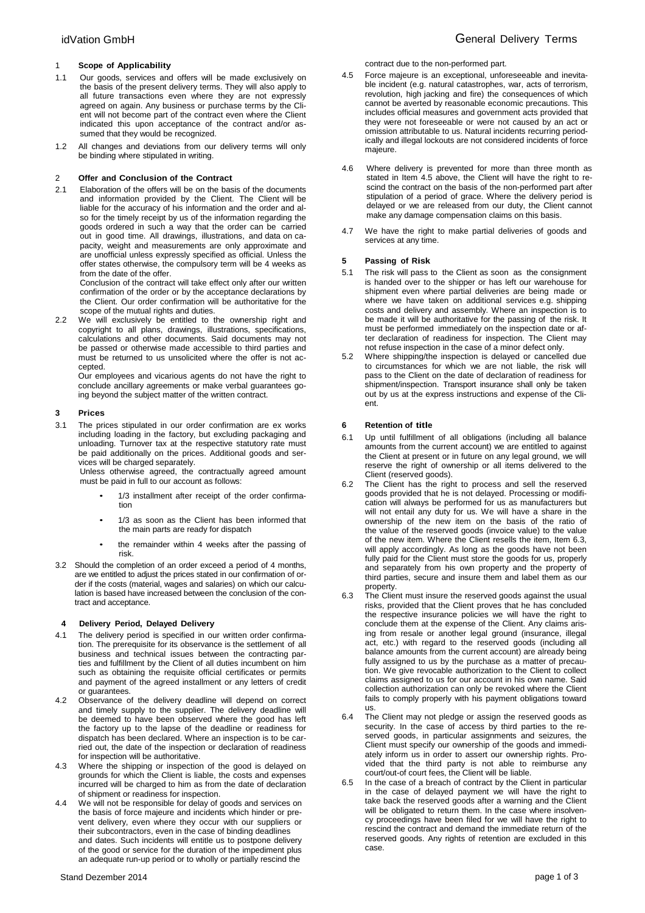## 1 **Scope of Applicability**

- 1.1 Our goods, services and offers will be made exclusively on the basis of the present delivery terms. They will also apply to all future transactions even where they are not expressly agreed on again. Any business or purchase terms by the Client will not become part of the contract even where the Client indicated this upon acceptance of the contract and/or assumed that they would be recognized.
- 1.2 All changes and deviations from our delivery terms will only be binding where stipulated in writing.

## 2 **Offer and Conclusion of the Contract**

2.1 Elaboration of the offers will be on the basis of the documents and information provided by the Client. The Client will be liable for the accuracy of his information and the order and also for the timely receipt by us of the information regarding the goods ordered in such a way that the order can be carried out in good time. All drawings, illustrations, and data on capacity, weight and measurements are only approximate and are unofficial unless expressly specified as official. Unless the offer states otherwise, the compulsory term will be 4 weeks as from the date of the offer.

Conclusion of the contract will take effect only after our written confirmation of the order or by the acceptance declarations by the Client. Our order confirmation will be authoritative for the scope of the mutual rights and duties.

2.2 We will exclusively be entitled to the ownership right and copyright to all plans, drawings, illustrations, specifications, calculations and other documents. Said documents may not be passed or otherwise made accessible to third parties and must be returned to us unsolicited where the offer is not accepted.

Our employees and vicarious agents do not have the right to conclude ancillary agreements or make verbal guarantees going beyond the subject matter of the written contract.

#### **3 Prices**

3.1 The prices stipulated in our order confirmation are ex works including loading in the factory, but excluding packaging and unloading. Turnover tax at the respective statutory rate must be paid additionally on the prices. Additional goods and services will be charged separately.

Unless otherwise agreed, the contractually agreed amount must be paid in full to our account as follows:

- 1/3 installment after receipt of the order confirmation
- 1/3 as soon as the Client has been informed that the main parts are ready for dispatch
- the remainder within 4 weeks after the passing of risk.
- 3.2 Should the completion of an order exceed a period of 4 months, are we entitled to adjust the prices stated in our confirmation of order if the costs (material, wages and salaries) on which our calculation is based have increased between the conclusion of the contract and acceptance.

## **4 Delivery Period, Delayed Delivery**

- 4.1 The delivery period is specified in our written order confirmation. The prerequisite for its observance is the settlement of all business and technical issues between the contracting parties and fulfillment by the Client of all duties incumbent on him such as obtaining the requisite official certificates or permits and payment of the agreed installment or any letters of credit or guarantees.
- 4.2 Observance of the delivery deadline will depend on correct and timely supply to the supplier. The delivery deadline will be deemed to have been observed where the good has left the factory up to the lapse of the deadline or readiness for dispatch has been declared. Where an inspection is to be carried out, the date of the inspection or declaration of readiness for inspection will be authoritative.
- 4.3 Where the shipping or inspection of the good is delayed on grounds for which the Client is liable, the costs and expenses incurred will be charged to him as from the date of declaration of shipment or readiness for inspection.
- 4.4 We will not be responsible for delay of goods and services on the basis of force majeure and incidents which hinder or prevent delivery, even where they occur with our suppliers or their subcontractors, even in the case of binding deadlines and dates. Such incidents will entitle us to postpone delivery of the good or service for the duration of the impediment plus an adequate run-up period or to wholly or partially rescind the

contract due to the non-performed part.

- 4.5 Force majeure is an exceptional, unforeseeable and inevitable incident (e.g. natural catastrophes, war, acts of terrorism, revolution, high jacking and fire) the consequences of which cannot be averted by reasonable economic precautions. This includes official measures and government acts provided that they were not foreseeable or were not caused by an act or omission attributable to us. Natural incidents recurring periodically and illegal lockouts are not considered incidents of force majeure.
- 4.6 Where delivery is prevented for more than three month as stated in Item 4.5 above, the Client will have the right to rescind the contract on the basis of the non-performed part after stipulation of a period of grace. Where the delivery period is delayed or we are released from our duty, the Client cannot make any damage compensation claims on this basis.
- 4.7 We have the right to make partial deliveries of goods and services at any time.

# **5 Passing of Risk**

- 5.1 The risk will pass to the Client as soon as the consignment is handed over to the shipper or has left our warehouse for shipment even where partial deliveries are being made or where we have taken on additional services e.g. shipping costs and delivery and assembly. Where an inspection is to be made it will be authoritative for the passing of the risk. It must be performed immediately on the inspection date or after declaration of readiness for inspection. The Client may not refuse inspection in the case of a minor defect only.
- 5.2 Where shipping/the inspection is delayed or cancelled due to circumstances for which we are not liable, the risk will pass to the Client on the date of declaration of readiness for shipment/inspection. Transport insurance shall only be taken out by us at the express instructions and expense of the Client.

## **6 Retention of title**

- 6.1 Up until fulfillment of all obligations (including all balance amounts from the current account) we are entitled to against the Client at present or in future on any legal ground, we will reserve the right of ownership or all items delivered to the Client (reserved goods).
- 6.2 The Client has the right to process and sell the reserved goods provided that he is not delayed. Processing or modification will always be performed for us as manufacturers but will not entail any duty for us. We will have a share in the ownership of the new item on the basis of the ratio of the value of the reserved goods (invoice value) to the value of the new item. Where the Client resells the item, Item 6.3, will apply accordingly. As long as the goods have not been fully paid for the Client must store the goods for us, properly and separately from his own property and the property of third parties, secure and insure them and label them as our property.
- 6.3 The Client must insure the reserved goods against the usual risks, provided that the Client proves that he has concluded the respective insurance policies we will have the right to conclude them at the expense of the Client. Any claims arising from resale or another legal ground (insurance, illegal act, etc.) with regard to the reserved goods (including all balance amounts from the current account) are already being fully assigned to us by the purchase as a matter of precaution. We give revocable authorization to the Client to collect claims assigned to us for our account in his own name. Said collection authorization can only be revoked where the Client fails to comply properly with his payment obligations toward us.
- 6.4 The Client may not pledge or assign the reserved goods as security. In the case of access by third parties to the reserved goods, in particular assignments and seizures, the Client must specify our ownership of the goods and immediately inform us in order to assert our ownership rights. Provided that the third party is not able to reimburse any court/out-of court fees, the Client will be liable.
- 6.5 In the case of a breach of contract by the Client in particular in the case of delayed payment we will have the right to take back the reserved goods after a warning and the Client will be obligated to return them. In the case where insolvency proceedings have been filed for we will have the right to rescind the contract and demand the immediate return of the reserved goods. Any rights of retention are excluded in this case.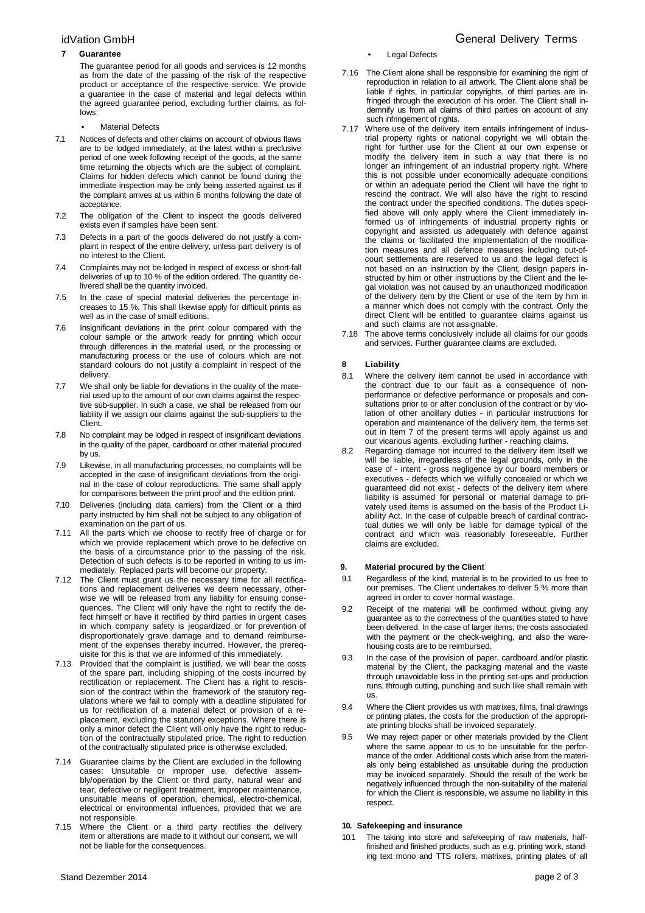# **7 Guarantee**

The guarantee period for all goods and services is 12 months as from the date of the passing of the risk of the respective product or acceptance of the respective service. We provide a guarantee in the case of material and legal defects within the agreed guarantee period, excluding further claims, as follows:

- **Material Defects**
- 7.1 Notices of defects and other claims on account of obvious flaws are to be lodged immediately, at the latest within a preclusive period of one week following receipt of the goods, at the same time returning the objects which are the subject of complaint. Claims for hidden defects which cannot be found during the immediate inspection may be only being asserted against us if the complaint arrives at us within 6 months following the date of acceptance.
- 7.2 The obligation of the Client to inspect the goods delivered exists even if samples have been sent.
- 7.3 Defects in a part of the goods delivered do not justify a complaint in respect of the entire delivery, unless part delivery is of no interest to the Client.
- 7.4 Complaints may not be lodged in respect of excess or short-fall deliveries of up to 10 % of the edition ordered. The quantity delivered shall be the quantity invoiced.
- 7.5 In the case of special material deliveries the percentage increases to 15 %. This shall likewise apply for difficult prints as well as in the case of small editions.
- 7.6 Insignificant deviations in the print colour compared with the colour sample or the artwork ready for printing which occur through differences in the material used, or the processing or manufacturing process or the use of colours which are not standard colours do not justify a complaint in respect of the delivery.
- 7.7 We shall only be liable for deviations in the quality of the material used up to the amount of our own claims against the respective sub-supplier. In such a case, we shall be released from our liability if we assign our claims against the sub-suppliers to the Client.
- 7.8 No complaint may be lodged in respect of insignificant deviations in the quality of the paper, cardboard or other material procured by us.
- 7.9 Likewise, in all manufacturing processes, no complaints will be accepted in the case of insignificant deviations from the original in the case of colour reproductions. The same shall apply for comparisons between the print proof and the edition print.
- 7.10 Deliveries (including data carriers) from the Client or a third party instructed by him shall not be subject to any obligation of examination on the part of us.
- 7.11 All the parts which we choose to rectify free of charge or for which we provide replacement which prove to be defective on the basis of a circumstance prior to the passing of the risk. Detection of such defects is to be reported in writing to us immediately. Replaced parts will become our property.
- 7.12 The Client must grant us the necessary time for all rectifications and replacement deliveries we deem necessary, otherwise we will be released from any liability for ensuing consequences. The Client will only have the right to rectify the defect himself or have it rectified by third parties in urgent cases in which company safety is jeopardized or for prevention of disproportionately grave damage and to demand reimbursement of the expenses thereby incurred. However, the prerequisite for this is that we are informed of this immediately.
- 7.13 Provided that the complaint is justified, we will bear the costs of the spare part, including shipping of the costs incurred by rectification or replacement. The Client has a right to rescission of the contract within the framework of the statutory regulations where we fail to comply with a deadline stipulated for us for rectification of a material defect or provision of a replacement, excluding the statutory exceptions. Where there is only a minor defect the Client will only have the right to reduction of the contractually stipulated price. The right to reduction of the contractually stipulated price is otherwise excluded.
- 7.14 Guarantee claims by the Client are excluded in the following cases: Unsuitable or improper use, defective assembly/operation by the Client or third party, natural wear and tear, defective or negligent treatment, improper maintenance, unsuitable means of operation, chemical, electro-chemical, electrical or environmental influences, provided that we are not responsible.
- 7.15 Where the Client or a third party rectifies the delivery item or alterations are made to it without our consent, we will not be liable for the consequences.
- **Legal Defects**
- 7.16 The Client alone shall be responsible for examining the right of reproduction in relation to all artwork. The Client alone shall be liable if rights, in particular copyrights, of third parties are infringed through the execution of his order. The Client shall indemnify us from all claims of third parties on account of any such infringement of rights.
- 7.17 Where use of the delivery item entails infringement of industrial property rights or national copyright we will obtain the right for further use for the Client at our own expense or modify the delivery item in such a way that there is no longer an infringement of an industrial property right. Where this is not possible under economically adequate conditions or within an adequate period the Client will have the right to rescind the contract. We will also have the right to rescind the contract under the specified conditions. The duties specified above will only apply where the Client immediately informed us of infringements of industrial property rights or copyright and assisted us adequately with defence against the claims or facilitated the implementation of the modification measures and all defence measures including out-ofcourt settlements are reserved to us and the legal defect is not based on an instruction by the Client, design papers instructed by him or other instructions by the Client and the legal violation was not caused by an unauthorized modification of the delivery item by the Client or use of the item by him in a manner which does not comply with the contract. Only the direct Client will be entitled to guarantee claims against us and such claims are not assignable.
- 7.18 The above terms conclusively include all claims for our goods and services. Further guarantee claims are excluded.

# **8 Liability**

- 8.1 Where the delivery item cannot be used in accordance with the contract due to our fault as a consequence of nonperformance or defective performance or proposals and consultations prior to or after conclusion of the contract or by violation of other ancillary duties - in particular instructions for operation and maintenance of the delivery item, the terms set out in Item 7 of the present terms will apply against us and our vicarious agents, excluding further - reaching claims.
- 8.2 Regarding damage not incurred to the delivery item itself we will be liable, irregardless of the legal grounds, only in the case of - intent - gross negligence by our board members or executives - defects which we wilfully concealed or which we guaranteed did not exist - defects of the delivery item where liability is assumed for personal or material damage to privately used items is assumed on the basis of the Product Liability Act. In the case of culpable breach of cardinal contractual duties we will only be liable for damage typical of the contract and which was reasonably foreseeable. Further claims are excluded.

## **9. Material procured by the Client**

- 9.1 Regardless of the kind, material is to be provided to us free to our premises. The Client undertakes to deliver 5 % more than agreed in order to cover normal wastage.
- 9.2 Receipt of the material will be confirmed without giving any guarantee as to the correctness of the quantities stated to have been delivered. In the case of larger items, the costs associated with the payment or the check-weighing, and also the warehousing costs are to be reimbursed.
- 9.3 In the case of the provision of paper, cardboard and/or plastic material by the Client, the packaging material and the waste through unavoidable loss in the printing set-ups and production runs, through cutting, punching and such like shall remain with us.
- 9.4 Where the Client provides us with matrixes, films, final drawings or printing plates, the costs for the production of the appropriate printing blocks shall be invoiced separately.
- 9.5 We may reject paper or other materials provided by the Client where the same appear to us to be unsuitable for the performance of the order. Additional costs which arise from the materials only being established as unsuitable during the production may be invoiced separately. Should the result of the work be negatively influenced through the non-suitability of the material for which the Client is responsible, we assume no liability in this respect.

## **10. Safekeeping and insurance**

10.1 The taking into store and safekeeping of raw materials, halffinished and finished products, such as e.g. printing work, standing text mono and TTS rollers, matrixes, printing plates of all